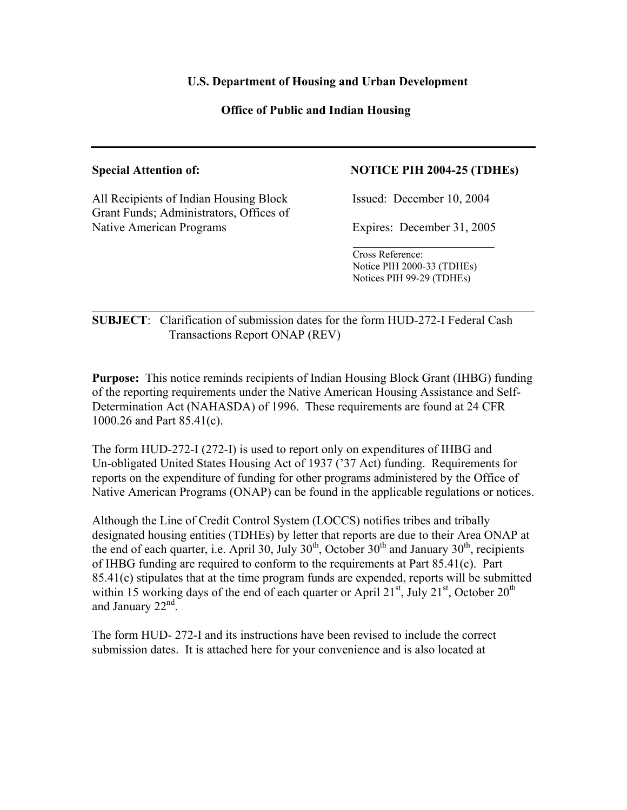# **U.S. Department of Housing and Urban Development**

# **Office of Public and Indian Housing**

All Recipients of Indian Housing Block Issued: December 10, 2004 Grant Funds; Administrators, Offices of Native American Programs Expires: December 31, 2005

## **Special Attention of: NOTICE PIH 2004-25 (TDHEs)**

 Cross Reference: Notice PIH 2000-33 (TDHEs) Notices PIH 99-29 (TDHEs)

# **SUBJECT**: Clarification of submission dates for the form HUD-272-I Federal Cash Transactions Report ONAP (REV)

 $\mathcal{L}_\text{max}$  , and the contribution of the contribution of the contribution of the contribution of the contribution of the contribution of the contribution of the contribution of the contribution of the contribution of t

 $\mathcal{L}_\text{max}$  and  $\mathcal{L}_\text{max}$  and  $\mathcal{L}_\text{max}$  and  $\mathcal{L}_\text{max}$  and  $\mathcal{L}_\text{max}$  and  $\mathcal{L}_\text{max}$ 

**Purpose:** This notice reminds recipients of Indian Housing Block Grant (IHBG) funding of the reporting requirements under the Native American Housing Assistance and Self-Determination Act (NAHASDA) of 1996. These requirements are found at 24 CFR 1000.26 and Part 85.41(c).

The form HUD-272-I (272-I) is used to report only on expenditures of IHBG and Un-obligated United States Housing Act of 1937 ('37 Act) funding. Requirements for reports on the expenditure of funding for other programs administered by the Office of Native American Programs (ONAP) can be found in the applicable regulations or notices.

Although the Line of Credit Control System (LOCCS) notifies tribes and tribally designated housing entities (TDHEs) by letter that reports are due to their Area ONAP at the end of each quarter, i.e. April 30, July  $30<sup>th</sup>$ , October  $30<sup>th</sup>$  and January  $30<sup>th</sup>$ , recipients of IHBG funding are required to conform to the requirements at Part 85.41(c). Part 85.41(c) stipulates that at the time program funds are expended, reports will be submitted within 15 working days of the end of each quarter or April  $21<sup>st</sup>$ , July  $21<sup>st</sup>$ , October  $20<sup>th</sup>$ and January  $22<sup>nd</sup>$ .

The form HUD- 272-I and its instructions have been revised to include the correct submission dates. It is attached here for your convenience and is also located at